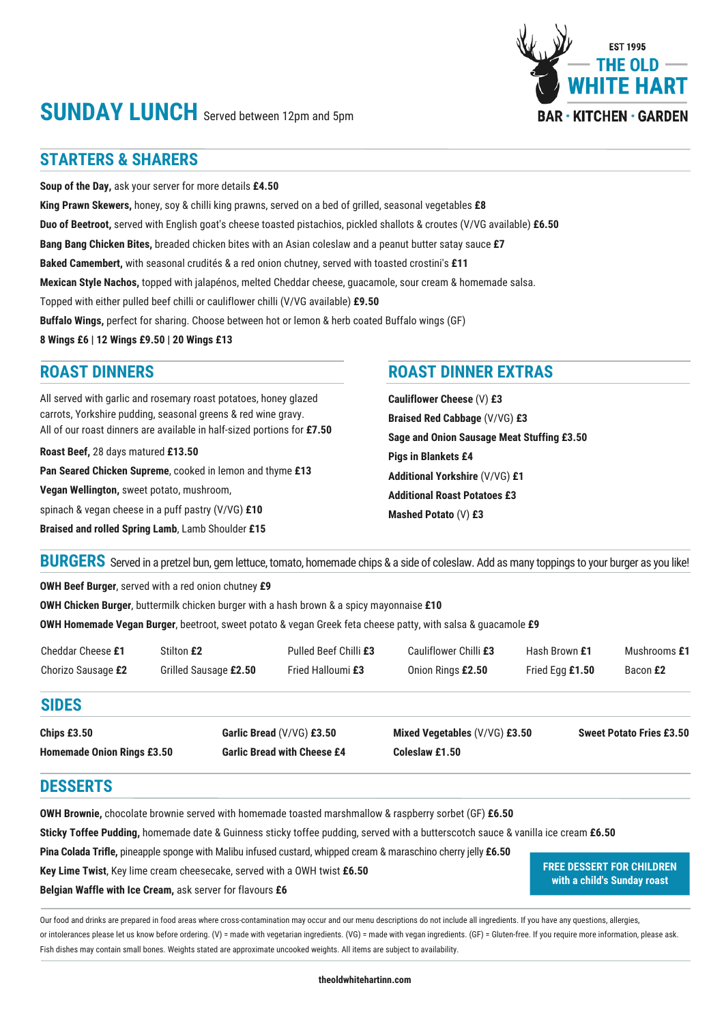# **SUNDAY LUNCH** Served between 12pm and 5pm

## **STARTERS & SHARERS**

**Soup of the Day,** ask your server for more details **£4.50 King Prawn Skewers,** honey, soy & chilli king prawns, served on a bed of grilled, seasonal vegetables **£8 Duo of Beetroot,** served with English goat's cheese toasted pistachios, pickled shallots & croutes (V/VG available) **£6.50 Bang Bang Chicken Bites,** breaded chicken bites with an Asian coleslaw and a peanut butter satay sauce **£7 Baked Camembert,** with seasonal crudités & a red onion chutney, served with toasted crostini's **£11 Mexican Style Nachos,** topped with jalapénos, melted Cheddar cheese, guacamole, sour cream & homemade salsa. Topped with either pulled beef chilli or cauliflower chilli (V/VG available) **£9.50 Buffalo Wings,** perfect for sharing. Choose between hot or lemon & herb coated Buffalo wings (GF) **8 Wings £6 | 12 Wings £9.50 | 20 Wings £13**

All served with garlic and rosemary roast potatoes, honey glazed carrots, Yorkshire pudding, seasonal greens & red wine gravy. All of our roast dinners are available in half-sized portions for **£7.50**

**Roast Beef,** 28 days matured **£13.50 Pan Seared Chicken Supreme**, cooked in lemon and thyme **£13 Vegan Wellington,** sweet potato, mushroom, spinach & vegan cheese in a puff pastry (V/VG) **£10 Braised and rolled Spring Lamb**, Lamb Shoulder **£15**

#### **ROAST DINNERS ROAST DINNER EXTRAS**

**Cauliflower Cheese** (V) **£3 Braised Red Cabbage** (V/VG) **£3 Sage and Onion Sausage Meat Stuffing £3.50 Pigs in Blankets £4 Additional Yorkshire** (V/VG) **£1 Additional Roast Potatoes £3 Mashed Potato** (V) **£3**

BURGERS Served in a pretzel bun, gem lettuce, tomato, homemade chips & a side of coleslaw. Add as many toppings to your burger as you like!

**OWH Beef Burger**, served with a red onion chutney **£9**

**OWH Chicken Burger**, buttermilk chicken burger with a hash brown & a spicy mayonnaise **£10**

**OWH Homemade Vegan Burger**, beetroot, sweet potato & vegan Greek feta cheese patty, with salsa & guacamole **£9**

| Cheddar Cheese £1  | Stilton £2            | Pulled Beef Chilli £3 | Cauliflower Chilli £3 | Hash Brown £1   | Mushrooms £1 |
|--------------------|-----------------------|-----------------------|-----------------------|-----------------|--------------|
| Chorizo Sausage £2 | Grilled Sausage £2.50 | Fried Halloumi £3     | Onion Rings £2.50     | Fried Eaa £1.50 | Bacon £2     |

### **SIDES**

**Chips £3.50 Homemade Onion Rings £3.50** **Garlic Bread** (V/VG) **£3.50 Garlic Bread with Cheese £4** **Mixed Vegetables** (V/VG) **£3.50 Coleslaw £1.50**

**Sweet Potato Fries £3.50**

**FREE DESSERT FOR CHILDREN with a child's Sunday roast**

### **DESSERTS**

**OWH Brownie,** chocolate brownie served with homemade toasted marshmallow & raspberry sorbet (GF) **£6.50**

**Sticky Toffee Pudding,** homemade date & Guinness sticky toffee pudding, served with a butterscotch sauce & vanilla ice cream **£6.50**

**Pina Colada Trifle,** pineapple sponge with Malibu infused custard, whipped cream & maraschino cherry jelly **£6.50**

**Key Lime Twist**, Key lime cream cheesecake, served with a OWH twist **£6.50**

**Belgian Waffle with Ice Cream,** ask server for flavours **£6**

Our food and drinks are prepared in food areas where cross-contamination may occur and our menu descriptions do not include all ingredients. If you have any questions, allergies, or intolerances please let us know before ordering. (V) = made with vegetarian ingredients. (VG) = made with vegan ingredients. (GF) = Gluten-free. If you require more information, please ask. Fish dishes may contain small bones. Weights stated are approximate uncooked weights. All items are subject to availability.